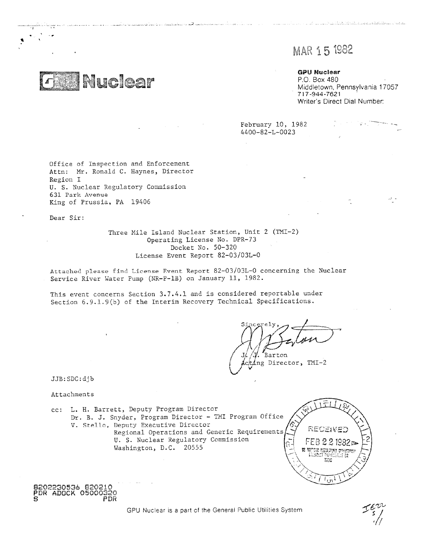# MAR 15 1982

بەلەر ئەسىرى ئىشلىرى ئەھەر ئالارى ئالارى ئالارى ئالارى ئالارى ئالارى ئالارى ئالارى ئالارى ئالارى ئالارى ئالارى

**GPU Nuclear** P.O. Box 480 Middletown, Pennsylvania 17057 717-944-7621 Writer's Direct Dial Number:

47

February 10, 1982 4400-82-L-0023

Office of Inspection and Enforcement Attn: Mr. Ronald C. Haynes, Director Region I U. S. Nuclear Regulatory Commission 631 Park Avenue King of Prussia, PA 19406

**Nuclear** 

Dear Sir:

Three Mile Island Nuclear Station, Unit 2 (TMI-2) Operating License No. DPR-73 Docket No. 50-320 License Event Report 82-03/03L-0

Attached please find License Event Report 82-03/03L-0 concerning the Nuclear Service River Water Pump (NR-P-1B) on January 11, 1982.

This event concerns Section 3.7.4.1 and is considered reportable under Section  $6.9.1.9(b)$  of the Interim Recovery Technical Specifications.

والرادا المتناد والأوالية والأواجد ومستميح ووسط الأسواب المكافيهمات وكالمولا فتسميهما والمأوسيون

. Barton

Director, TMI-2

JJB:SDC:djb

Attachments

cc: L. H. Barrett, Deputy Program Director Dr. B. *J.* Snyder, Program Director - TMI Program Office V. Stelln, Deputy Executive Director Regional Operations and Generic Requirement U. S. Nuclear Regulatory Commission ir M Washington, D.C. 20555



**8202230536 920210 PDR ADOCK 05000320** *S* **PDR**

GPU Nuclear is a part cf the General Public Utilities System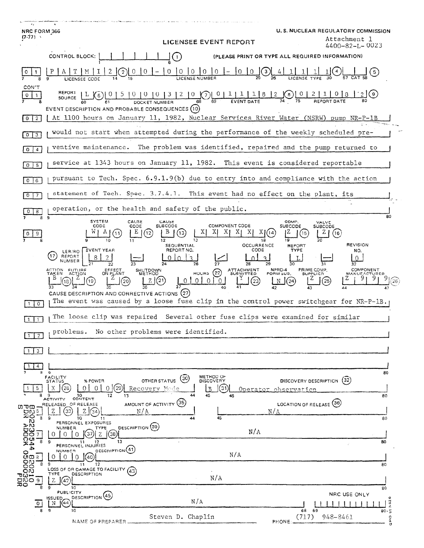| NRC FORM 366<br>$(7-77)$ \                         | LICENSEE EVENT REPORT                                                                                                                                                        | U.S. NUCLEAR REGULATORY COMMISSION<br>Attachment 1<br>$4400 - 82 - L - 0023$                                          |  |
|----------------------------------------------------|------------------------------------------------------------------------------------------------------------------------------------------------------------------------------|-----------------------------------------------------------------------------------------------------------------------|--|
|                                                    | CONTROL BLOCK:<br>$\left( 1\right)$                                                                                                                                          | (PLEASE PRINT OR TYPE ALL REQUIRED INFORMATION)                                                                       |  |
|                                                    | LICENSEE CODE                                                                                                                                                                |                                                                                                                       |  |
| CON'T<br>$\mathbf{1}$                              |                                                                                                                                                                              |                                                                                                                       |  |
| 0 <sup>2</sup>                                     | EVENT DESCRIPTION AND PROBABLE CONSEQUENCES (10)<br>At 1100 hours on January 11, 1982, Nuclear Services River Water (NSRW) pump NR-P-1B                                      |                                                                                                                       |  |
| 3<br>0                                             | would not start when attempted during the performance of the weekly scheduled pre-                                                                                           |                                                                                                                       |  |
| 0<br>$\overline{4}$                                | ventive maintenance. The problem was identified, repaired and the pump returned to                                                                                           |                                                                                                                       |  |
| 0 <sup>1</sup><br>-5                               | service at 1343 hours on January 11, 1982. This event is considered reportable                                                                                               |                                                                                                                       |  |
| 0 <sup>1</sup><br>6                                | pursuant to Tech. Spec. 6.9.1.9(b) due to entry into and compliance with the action                                                                                          |                                                                                                                       |  |
| $\circ$<br>7                                       | statement of Tech. Spec. 3.7.4.1. This event had no effect on the plant, its                                                                                                 |                                                                                                                       |  |
| 8                                                  | operation, or the health and safety of the public.<br>80                                                                                                                     |                                                                                                                       |  |
| 89                                                 | <b>SYSTEM</b><br>CAUSE<br>CAUSE<br><b>COMPONENT CODE</b><br><b>SUBCODE</b><br>CODE<br>CODE                                                                                   | COMP.<br>VALVE<br>SUBCODE<br><b>SUBCODE</b>                                                                           |  |
|                                                    | $X$ $X$ $X$ $X$ $X$<br>ΧJ<br>(13)<br>(12)<br>(11)<br>12<br>13<br><b>OCCURRENCE</b><br>SEQUENTIAL                                                                             | (16)<br><b>REVISION</b><br><b>REPORT</b>                                                                              |  |
|                                                    | LER/RO EVENT YEAR<br>REPORT NO.<br>CODE<br>REPORT<br>8<br>$\mathcal{R}$<br>$\Omega$<br>$\mathcal{F}$<br>NUMBER                                                               | <b>TYPE</b><br>NO.                                                                                                    |  |
|                                                    | HOURS (22) ATTACHMENT<br>ACTION FUTURE<br>TAKEN ACT <u>I</u> ON<br>SHUTDOWN<br>METHOD<br>CEFFECT<br>ON PLANT<br>Z(2)<br>101010<br>(23)<br>(19)<br>(20)                       | NPRD-4<br>PRIME COMP.<br><b>COMPONENT</b><br>FORM SUB.<br><b>SUPPLIER</b><br>(25)<br>$\lfloor N \rfloor$ (24)<br>(26) |  |
| $\circ$                                            | CAUSE DESCRIPTION AND CORRECTIVE ACTIONS (27)<br>The event was caused by a loose fuse clip in the control power switchgear for NR-P-1B.                                      |                                                                                                                       |  |
|                                                    | The loose clip was repaired Several other fuse clips were examined for similar                                                                                               |                                                                                                                       |  |
| $\overline{2}$<br>$\mathbf{1}$                     | problems.<br>No other problems were identified.                                                                                                                              |                                                                                                                       |  |
| 3                                                  |                                                                                                                                                                              |                                                                                                                       |  |
| $4 -$                                              |                                                                                                                                                                              |                                                                                                                       |  |
| 8<br>5.                                            | 9<br>FACILITY<br>METHOD OF<br>DISCOVERY<br>(30)<br>OTHER STATUS<br><b>STATUS</b><br>% POWER<br>0<br>0<br>29<br>31<br>Ω<br>Recovery Mode<br>B                                 | 80<br>(32)<br><b>DISCOVERY DESCRIPTION</b><br>Operator observation                                                    |  |
| 8<br>ωτω                                           | 45<br>9<br>10<br>12<br>13<br>46<br>CONTENT<br><b>ACTIVITY</b><br>AMOUNT OF ACTIVITY (35)<br>OF RELEASE<br>RELEASED<br>$Z \mid$<br>Ζ<br>33<br>N/A<br>$\left(34\right)$<br>N/A | 80<br>LOCATION OF RELEASE (36)                                                                                        |  |
| <b>Divided</b><br>Light<br>Light<br>$\overline{B}$ | 9<br>45<br>10<br>44<br>11<br>PERSONNEL EXPOSURES<br>DESCRIPTION (39)<br>NUMBER<br>TYPE                                                                                       | 80                                                                                                                    |  |
| 12002:<br>1905:<br>1<br>8                          | N/A<br>37<br>Z<br>0<br>0<br>(38<br>0<br>13<br>9<br>12<br>11                                                                                                                  | 80                                                                                                                    |  |
| 4X<br>4<br>$\frac{1}{2}$                           | PERSONNEL INJURIES<br>DESCRIPTION <sup>(41)</sup><br>NUMBER<br>N/A<br>0<br>0<br>O<br>40                                                                                      |                                                                                                                       |  |
| 2021<br>8                                          | 9<br>12<br>11<br>LOSS OF OR DAMAGE TO FACILITY<br>(43                                                                                                                        | 80                                                                                                                    |  |
|                                                    | <b>TYPE</b><br>DESCRIPTION<br>N/A<br>Z<br>9<br>10                                                                                                                            | 80                                                                                                                    |  |
| 0                                                  | <b>PUBLICITY</b><br>DESCRIPTION <sup>(45)</sup><br>ISSUED.<br>$\sqrt{44}$<br>N/A<br>N                                                                                        | NRC USE ONLY<br>o                                                                                                     |  |
| 8                                                  | 9<br>10<br>Steven D. Chaplin                                                                                                                                                 | 7.92<br>69<br>68<br>80.5<br>948-8461<br>(717)<br>$\circ$                                                              |  |
|                                                    | NAME OF PREPARER                                                                                                                                                             | a<br>PHONE                                                                                                            |  |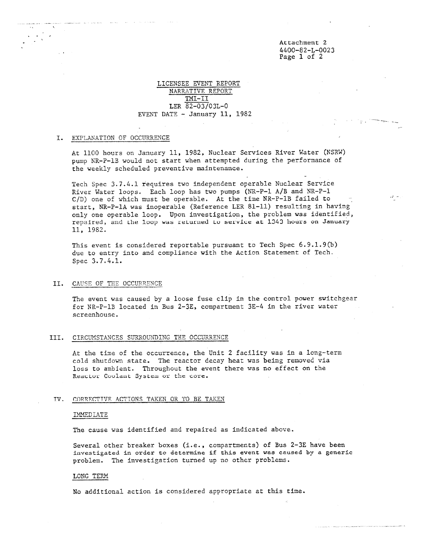## Attachment 2 4400-82-L-0023 Page 1 of 2

 $\mathcal{A}_{\mu}(\tau)$ 

## LICENSEE EVENT REPORT NARRATIVE REPORT TMI-II LER 82-03/03L-0 EVENT DATE - January 11, 1982

## I. EXPLANATION OF OCCURRENCE

At 1100 hours on January 11, 1982, Nuclear Services River Water (NSRW) pump NR-P-1B would not start when attempted during the performance of the weekly scheduled preventive maintenance.

Tech Spec 3.7.4.1 requires two independent operable Nuclear Service River Water loops. Each loop has two pumps (NR-P-1 A/B and NR-P-1 C/D) one of which must be operable. At the time NR-P-1B failed to start, NR-P-1A was inoperable (Reference LER 81-11) resulting in having only one operable loop. Upon investigation, the problem was identified, repaired, and the loop was returned Lo service at 1343 hours on January 11, 1982.

This event is considered reportable pursuant to Tech Spec 6.9.1.9(b) due to entry into and compliance with the Action Statement of Tech. Spec 3.7.4.1.

#### II. CAUSE OF THE OCCURRENCE

The event was caused by a loose fuse clip in the control power switchgear for NR-P-1B located in Bus 2-3E, compartment 3E-4 in the river water screenhouse.

## III. CIRCUMSTANCES SURROUNDING THE OCCURRENCE

At the time of the occurrence, the Unit 2 facility was in a long-term cold shutdown state. The reactor decay heat was being removed via loss to ambient. Throughout the event there was no effect on the Reactor Coolant System or the core.

## TV. COPRFCTIVE ACTIONS TAKEN OR TO BE TAKEN

## LMMEDIATE

The cause was identified and repaired as indicated above.

Several other breaker boxes (i.e., compartments) of Bus 2-3E have been investigated in order to determine if this event was caused by a generic problem. The investigation turned up no other problems.

## LONG TERM

No additional action is considered appropriate at this time.